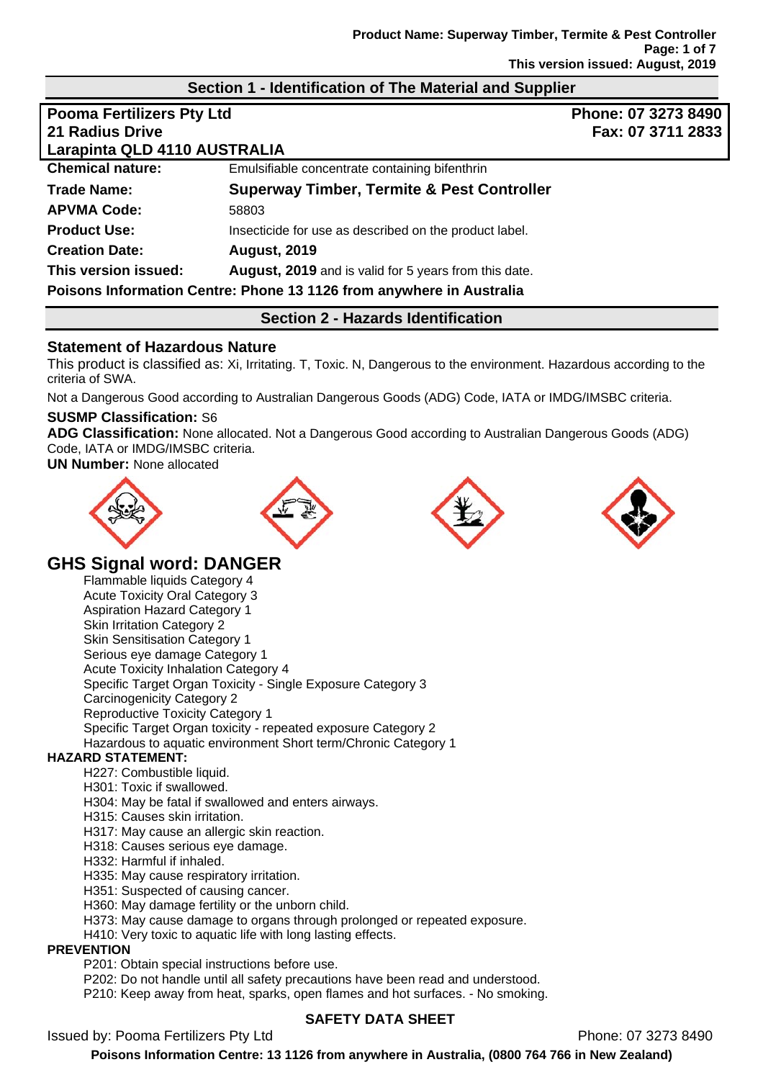### **Section 1 - Identification of The Material and Supplier**

| <b>Pooma Fertilizers Pty Ltd</b><br><b>21 Radius Drive</b><br>Larapinta QLD 4110 AUSTRALIA |                                                                      | Phone: 07 3273 8490<br>Fax: 07 3711 2833 |
|--------------------------------------------------------------------------------------------|----------------------------------------------------------------------|------------------------------------------|
| <b>Chemical nature:</b>                                                                    | Emulsifiable concentrate containing bifenthrin                       |                                          |
| Trade Name:                                                                                | <b>Superway Timber, Termite &amp; Pest Controller</b>                |                                          |
| <b>APVMA Code:</b>                                                                         | 58803                                                                |                                          |
| <b>Product Use:</b>                                                                        | Insecticide for use as described on the product label.               |                                          |
| <b>Creation Date:</b>                                                                      | <b>August, 2019</b>                                                  |                                          |
| This version issued:                                                                       | <b>August, 2019</b> and is valid for 5 years from this date.         |                                          |
|                                                                                            | Poisons Information Centre: Phone 13 1126 from anywhere in Australia |                                          |

### **Section 2 - Hazards Identification**

### **Statement of Hazardous Nature**

This product is classified as: Xi, Irritating. T, Toxic. N, Dangerous to the environment. Hazardous according to the criteria of SWA.

Not a Dangerous Good according to Australian Dangerous Goods (ADG) Code, IATA or IMDG/IMSBC criteria.

#### **SUSMP Classification:** S6

**ADG Classification:** None allocated. Not a Dangerous Good according to Australian Dangerous Goods (ADG) Code, IATA or IMDG/IMSBC criteria.

**UN Number:** None allocated









# **GHS Signal word: DANGER**

Flammable liquids Category 4 Acute Toxicity Oral Category 3 Aspiration Hazard Category 1 Skin Irritation Category 2 Skin Sensitisation Category 1 Serious eye damage Category 1 Acute Toxicity Inhalation Category 4 Specific Target Organ Toxicity - Single Exposure Category 3 Carcinogenicity Category 2 Reproductive Toxicity Category 1 Specific Target Organ toxicity - repeated exposure Category 2 Hazardous to aquatic environment Short term/Chronic Category 1

#### **HAZARD STATEMENT:**

- H227: Combustible liquid.
- H301: Toxic if swallowed.
- H304: May be fatal if swallowed and enters airways.
- H315: Causes skin irritation.
- H317: May cause an allergic skin reaction.
- H318: Causes serious eye damage.
- H332: Harmful if inhaled.
- H335: May cause respiratory irritation.
- H351: Suspected of causing cancer.
- H360: May damage fertility or the unborn child.
- H373: May cause damage to organs through prolonged or repeated exposure.
- H410: Very toxic to aquatic life with long lasting effects.

#### **PREVENTION**

P201: Obtain special instructions before use.

P202: Do not handle until all safety precautions have been read and understood.

P210: Keep away from heat, sparks, open flames and hot surfaces. - No smoking.

# Issued by: Pooma Fertilizers Pty Ltd **Phone: 07 3273 8490**

### **SAFETY DATA SHEET**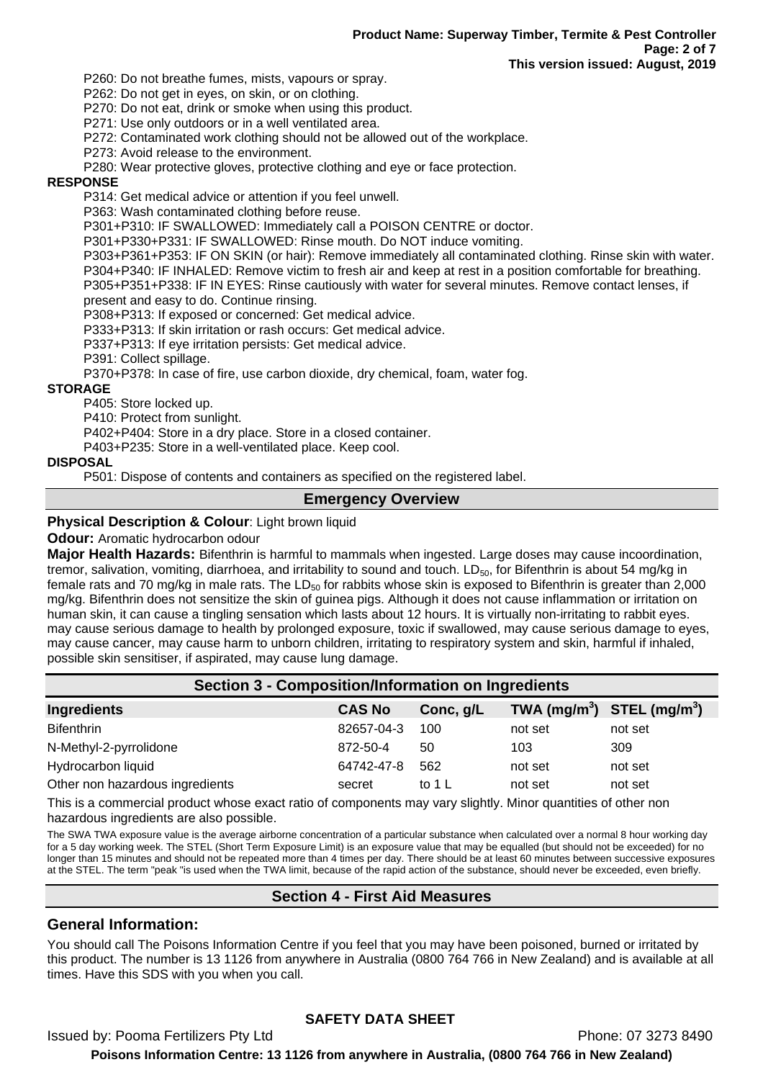P260: Do not breathe fumes, mists, vapours or spray.

P262: Do not get in eyes, on skin, or on clothing.

P270: Do not eat, drink or smoke when using this product.

P271: Use only outdoors or in a well ventilated area.

P272: Contaminated work clothing should not be allowed out of the workplace.

P273: Avoid release to the environment.

P280: Wear protective gloves, protective clothing and eye or face protection.

#### **RESPONSE**

P314: Get medical advice or attention if you feel unwell.

P363: Wash contaminated clothing before reuse.

P301+P310: IF SWALLOWED: Immediately call a POISON CENTRE or doctor.

P301+P330+P331: IF SWALLOWED: Rinse mouth. Do NOT induce vomiting.

P303+P361+P353: IF ON SKIN (or hair): Remove immediately all contaminated clothing. Rinse skin with water. P304+P340: IF INHALED: Remove victim to fresh air and keep at rest in a position comfortable for breathing. P305+P351+P338: IF IN EYES: Rinse cautiously with water for several minutes. Remove contact lenses, if present and easy to do. Continue rinsing.

P308+P313: If exposed or concerned: Get medical advice. P333+P313: If skin irritation or rash occurs: Get medical advice.

P337+P313: If eye irritation persists: Get medical advice.

P391: Collect spillage.

P370+P378: In case of fire, use carbon dioxide, dry chemical, foam, water fog.

#### **STORAGE**

P405: Store locked up.

P410: Protect from sunlight.

P402+P404: Store in a dry place. Store in a closed container.

P403+P235: Store in a well-ventilated place. Keep cool.

#### **DISPOSAL**

P501: Dispose of contents and containers as specified on the registered label.

### **Emergency Overview**

#### **Physical Description & Colour: Light brown liquid**

#### **Odour:** Aromatic hydrocarbon odour

**Major Health Hazards:** Bifenthrin is harmful to mammals when ingested. Large doses may cause incoordination, tremor, salivation, vomiting, diarrhoea, and irritability to sound and touch.  $LD_{50}$ , for Bifenthrin is about 54 mg/kg in female rats and 70 mg/kg in male rats. The LD $_{50}$  for rabbits whose skin is exposed to Bifenthrin is greater than 2,000 mg/kg. Bifenthrin does not sensitize the skin of guinea pigs. Although it does not cause inflammation or irritation on human skin, it can cause a tingling sensation which lasts about 12 hours. It is virtually non-irritating to rabbit eyes. may cause serious damage to health by prolonged exposure, toxic if swallowed, may cause serious damage to eyes, may cause cancer, may cause harm to unborn children, irritating to respiratory system and skin, harmful if inhaled, possible skin sensitiser, if aspirated, may cause lung damage.

| <b>Section 3 - Composition/Information on Ingredients</b> |               |           |                                                    |         |
|-----------------------------------------------------------|---------------|-----------|----------------------------------------------------|---------|
| Ingredients                                               | <b>CAS No</b> | Conc, g/L | TWA (mg/m <sup>3</sup> ) STEL (mg/m <sup>3</sup> ) |         |
| <b>Bifenthrin</b>                                         | 82657-04-3    | 100       | not set                                            | not set |
| N-Methyl-2-pyrrolidone                                    | 872-50-4      | 50        | 103                                                | 309     |
| Hydrocarbon liquid                                        | 64742-47-8    | 562       | not set                                            | not set |
| Other non hazardous ingredients                           | secret        | to 1 L    | not set                                            | not set |

This is a commercial product whose exact ratio of components may vary slightly. Minor quantities of other non hazardous ingredients are also possible.

The SWA TWA exposure value is the average airborne concentration of a particular substance when calculated over a normal 8 hour working day for a 5 day working week. The STEL (Short Term Exposure Limit) is an exposure value that may be equalled (but should not be exceeded) for no longer than 15 minutes and should not be repeated more than 4 times per day. There should be at least 60 minutes between successive exposures at the STEL. The term "peak "is used when the TWA limit, because of the rapid action of the substance, should never be exceeded, even briefly.

### **Section 4 - First Aid Measures**

### **General Information:**

You should call The Poisons Information Centre if you feel that you may have been poisoned, burned or irritated by this product. The number is 13 1126 from anywhere in Australia (0800 764 766 in New Zealand) and is available at all times. Have this SDS with you when you call.

### **SAFETY DATA SHEET**

Issued by: Pooma Fertilizers Pty Ltd **Phone: 07 3273 8490**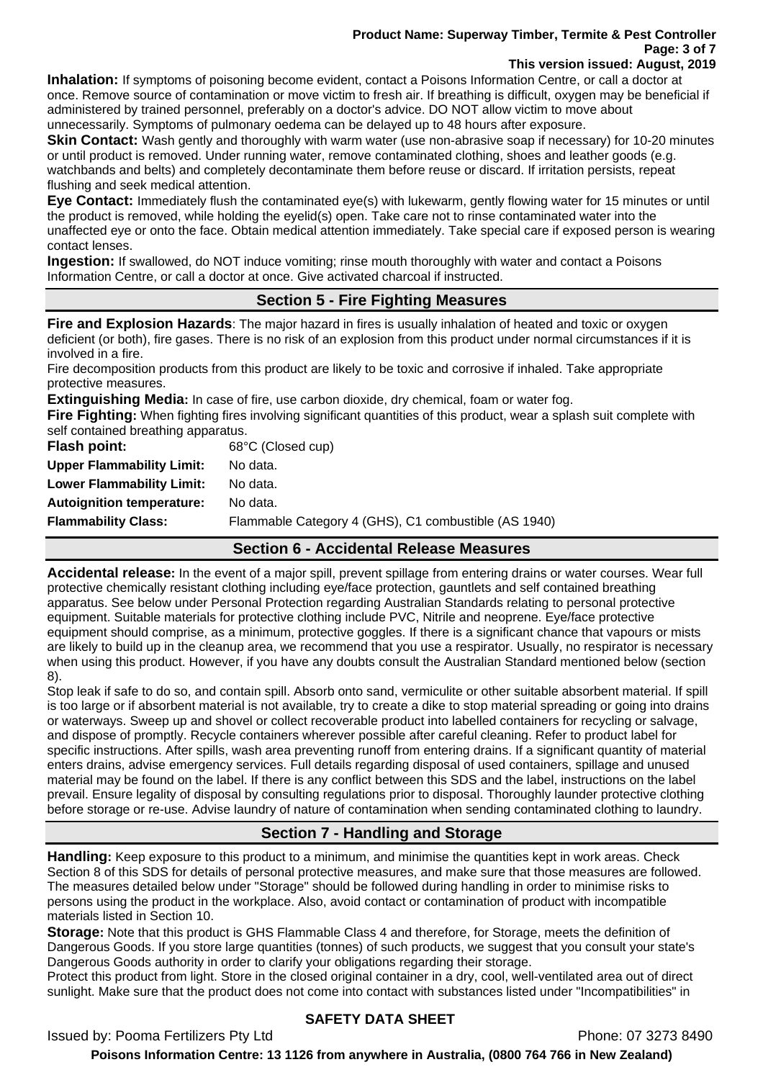#### **Product Name: Superway Timber, Termite & Pest Controller Page: 3 of 7 This version issued: August, 2019**

**Inhalation:** If symptoms of poisoning become evident, contact a Poisons Information Centre, or call a doctor at once. Remove source of contamination or move victim to fresh air. If breathing is difficult, oxygen may be beneficial if administered by trained personnel, preferably on a doctor's advice. DO NOT allow victim to move about unnecessarily. Symptoms of pulmonary oedema can be delayed up to 48 hours after exposure.

**Skin Contact:** Wash gently and thoroughly with warm water (use non-abrasive soap if necessary) for 10-20 minutes or until product is removed. Under running water, remove contaminated clothing, shoes and leather goods (e.g. watchbands and belts) and completely decontaminate them before reuse or discard. If irritation persists, repeat flushing and seek medical attention.

**Eye Contact:** Immediately flush the contaminated eye(s) with lukewarm, gently flowing water for 15 minutes or until the product is removed, while holding the eyelid(s) open. Take care not to rinse contaminated water into the unaffected eye or onto the face. Obtain medical attention immediately. Take special care if exposed person is wearing contact lenses.

**Ingestion:** If swallowed, do NOT induce vomiting; rinse mouth thoroughly with water and contact a Poisons Information Centre, or call a doctor at once. Give activated charcoal if instructed.

# **Section 5 - Fire Fighting Measures**

**Fire and Explosion Hazards**: The major hazard in fires is usually inhalation of heated and toxic or oxygen deficient (or both), fire gases. There is no risk of an explosion from this product under normal circumstances if it is involved in a fire.

Fire decomposition products from this product are likely to be toxic and corrosive if inhaled. Take appropriate protective measures.

**Extinguishing Media:** In case of fire, use carbon dioxide, dry chemical, foam or water fog.

**Fire Fighting:** When fighting fires involving significant quantities of this product, wear a splash suit complete with self contained breathing apparatus.

| Flash point:                     | 68°C (Closed cup)                                    |
|----------------------------------|------------------------------------------------------|
| <b>Upper Flammability Limit:</b> | No data.                                             |
| <b>Lower Flammability Limit:</b> | No data.                                             |
| <b>Autoignition temperature:</b> | No data.                                             |
| <b>Flammability Class:</b>       | Flammable Category 4 (GHS), C1 combustible (AS 1940) |

### **Section 6 - Accidental Release Measures**

**Accidental release:** In the event of a major spill, prevent spillage from entering drains or water courses. Wear full protective chemically resistant clothing including eye/face protection, gauntlets and self contained breathing apparatus. See below under Personal Protection regarding Australian Standards relating to personal protective equipment. Suitable materials for protective clothing include PVC, Nitrile and neoprene. Eye/face protective equipment should comprise, as a minimum, protective goggles. If there is a significant chance that vapours or mists are likely to build up in the cleanup area, we recommend that you use a respirator. Usually, no respirator is necessary when using this product. However, if you have any doubts consult the Australian Standard mentioned below (section 8).

Stop leak if safe to do so, and contain spill. Absorb onto sand, vermiculite or other suitable absorbent material. If spill is too large or if absorbent material is not available, try to create a dike to stop material spreading or going into drains or waterways. Sweep up and shovel or collect recoverable product into labelled containers for recycling or salvage, and dispose of promptly. Recycle containers wherever possible after careful cleaning. Refer to product label for specific instructions. After spills, wash area preventing runoff from entering drains. If a significant quantity of material enters drains, advise emergency services. Full details regarding disposal of used containers, spillage and unused material may be found on the label. If there is any conflict between this SDS and the label, instructions on the label prevail. Ensure legality of disposal by consulting regulations prior to disposal. Thoroughly launder protective clothing before storage or re-use. Advise laundry of nature of contamination when sending contaminated clothing to laundry.

# **Section 7 - Handling and Storage**

**Handling:** Keep exposure to this product to a minimum, and minimise the quantities kept in work areas. Check Section 8 of this SDS for details of personal protective measures, and make sure that those measures are followed. The measures detailed below under "Storage" should be followed during handling in order to minimise risks to persons using the product in the workplace. Also, avoid contact or contamination of product with incompatible materials listed in Section 10.

**Storage:** Note that this product is GHS Flammable Class 4 and therefore, for Storage, meets the definition of Dangerous Goods. If you store large quantities (tonnes) of such products, we suggest that you consult your state's Dangerous Goods authority in order to clarify your obligations regarding their storage.

Protect this product from light. Store in the closed original container in a dry, cool, well-ventilated area out of direct sunlight. Make sure that the product does not come into contact with substances listed under "Incompatibilities" in

### **SAFETY DATA SHEET**

Issued by: Pooma Fertilizers Pty Ltd **Phone: 07 3273 8490**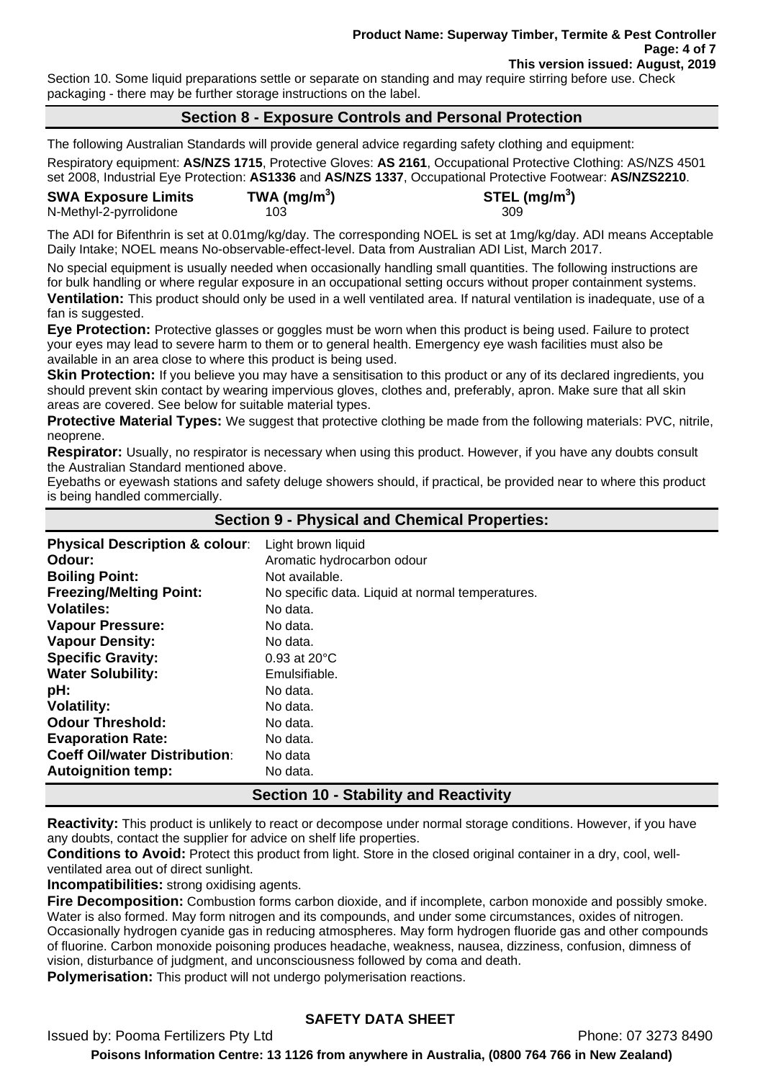#### **Product Name: Superway Timber, Termite & Pest Controller Page: 4 of 7 This version issued: August, 2019**

Section 10. Some liquid preparations settle or separate on standing and may require stirring before use. Check packaging - there may be further storage instructions on the label.

### **Section 8 - Exposure Controls and Personal Protection**

The following Australian Standards will provide general advice regarding safety clothing and equipment:

Respiratory equipment: **AS/NZS 1715**, Protective Gloves: **AS 2161**, Occupational Protective Clothing: AS/NZS 4501 set 2008, Industrial Eye Protection: **AS1336** and **AS/NZS 1337**, Occupational Protective Footwear: **AS/NZS2210**.

| <b>SWA Exposure Limits</b> | TWA (mg/m <sup>3</sup> ) | STEL (mg/m <sup>3</sup> ) |
|----------------------------|--------------------------|---------------------------|
| N-Methyl-2-pyrrolidone     | 103.                     | -309                      |

The ADI for Bifenthrin is set at 0.01mg/kg/day. The corresponding NOEL is set at 1mg/kg/day. ADI means Acceptable Daily Intake; NOEL means No-observable-effect-level. Data from Australian ADI List, March 2017.

No special equipment is usually needed when occasionally handling small quantities. The following instructions are for bulk handling or where regular exposure in an occupational setting occurs without proper containment systems. **Ventilation:** This product should only be used in a well ventilated area. If natural ventilation is inadequate, use of a fan is suggested.

**Eye Protection:** Protective glasses or goggles must be worn when this product is being used. Failure to protect your eyes may lead to severe harm to them or to general health. Emergency eye wash facilities must also be available in an area close to where this product is being used.

**Skin Protection:** If you believe you may have a sensitisation to this product or any of its declared ingredients, you should prevent skin contact by wearing impervious gloves, clothes and, preferably, apron. Make sure that all skin areas are covered. See below for suitable material types.

**Protective Material Types:** We suggest that protective clothing be made from the following materials: PVC, nitrile, neoprene.

**Respirator:** Usually, no respirator is necessary when using this product. However, if you have any doubts consult the Australian Standard mentioned above.

Eyebaths or eyewash stations and safety deluge showers should, if practical, be provided near to where this product is being handled commercially.

|                                           | <b>Section 9 - Physical and Chemical Properties:</b> |
|-------------------------------------------|------------------------------------------------------|
| <b>Physical Description &amp; colour:</b> | Light brown liquid                                   |
| Odour:                                    | Aromatic hydrocarbon odour                           |
| <b>Boiling Point:</b>                     | Not available.                                       |
| <b>Freezing/Melting Point:</b>            | No specific data. Liquid at normal temperatures.     |
| <b>Volatiles:</b>                         | No data.                                             |
| <b>Vapour Pressure:</b>                   | No data.                                             |
| <b>Vapour Density:</b>                    | No data.                                             |
| <b>Specific Gravity:</b>                  | $0.93$ at $20^{\circ}$ C                             |
| <b>Water Solubility:</b>                  | Emulsifiable.                                        |
| pH:                                       | No data.                                             |
| <b>Volatility:</b>                        | No data.                                             |
| <b>Odour Threshold:</b>                   | No data.                                             |
| <b>Evaporation Rate:</b>                  | No data.                                             |
| <b>Coeff Oil/water Distribution:</b>      | No data                                              |
| <b>Autoignition temp:</b>                 | No data.                                             |

# **Section 10 - Stability and Reactivity**

**Reactivity:** This product is unlikely to react or decompose under normal storage conditions. However, if you have any doubts, contact the supplier for advice on shelf life properties.

**Conditions to Avoid:** Protect this product from light. Store in the closed original container in a dry, cool, wellventilated area out of direct sunlight.

**Incompatibilities:** strong oxidising agents.

**Fire Decomposition:** Combustion forms carbon dioxide, and if incomplete, carbon monoxide and possibly smoke. Water is also formed. May form nitrogen and its compounds, and under some circumstances, oxides of nitrogen. Occasionally hydrogen cyanide gas in reducing atmospheres. May form hydrogen fluoride gas and other compounds of fluorine. Carbon monoxide poisoning produces headache, weakness, nausea, dizziness, confusion, dimness of vision, disturbance of judgment, and unconsciousness followed by coma and death.

**Polymerisation:** This product will not undergo polymerisation reactions.

# **SAFETY DATA SHEET**

Issued by: Pooma Fertilizers Pty Ltd **Phone: 07 3273 8490**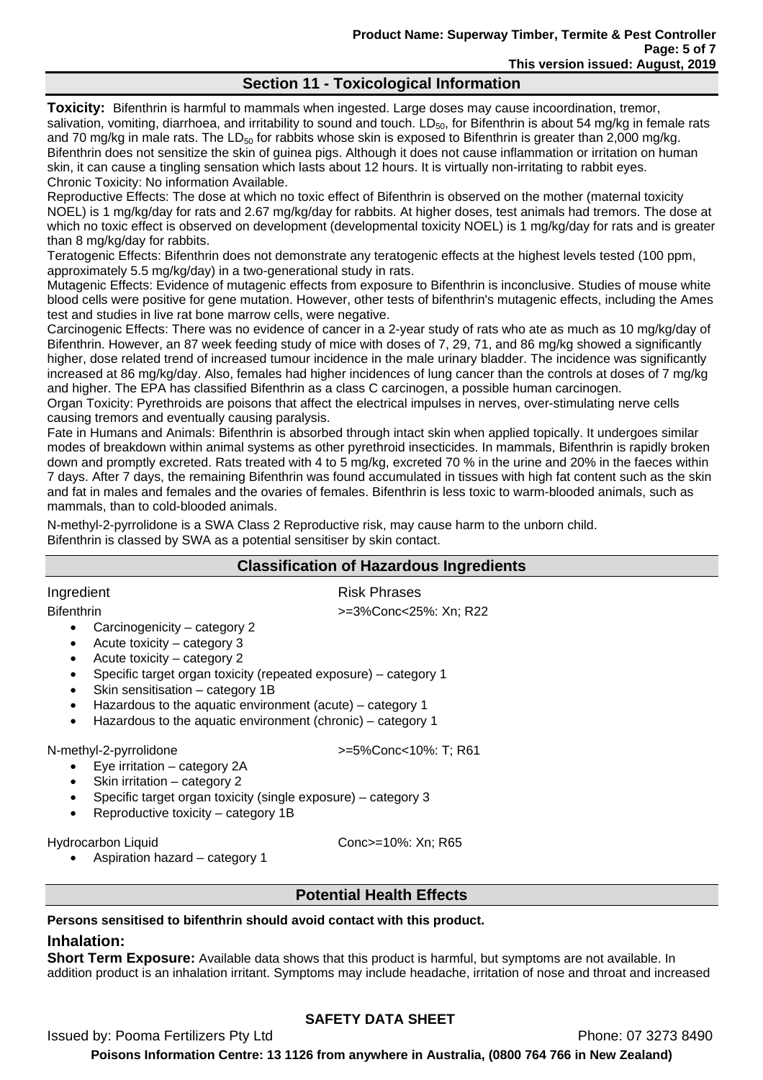# **Section 11 - Toxicological Information**

**Toxicity:** Bifenthrin is harmful to mammals when ingested. Large doses may cause incoordination, tremor, salivation, vomiting, diarrhoea, and irritability to sound and touch.  $LD_{50}$ , for Bifenthrin is about 54 mg/kg in female rats and 70 mg/kg in male rats. The  $LD_{50}$  for rabbits whose skin is exposed to Bifenthrin is greater than 2,000 mg/kg. Bifenthrin does not sensitize the skin of guinea pigs. Although it does not cause inflammation or irritation on human skin, it can cause a tingling sensation which lasts about 12 hours. It is virtually non-irritating to rabbit eyes. Chronic Toxicity: No information Available.

Reproductive Effects: The dose at which no toxic effect of Bifenthrin is observed on the mother (maternal toxicity NOEL) is 1 mg/kg/day for rats and 2.67 mg/kg/day for rabbits. At higher doses, test animals had tremors. The dose at which no toxic effect is observed on development (developmental toxicity NOEL) is 1 mg/kg/day for rats and is greater than 8 mg/kg/day for rabbits.

Teratogenic Effects: Bifenthrin does not demonstrate any teratogenic effects at the highest levels tested (100 ppm, approximately 5.5 mg/kg/day) in a two-generational study in rats.

Mutagenic Effects: Evidence of mutagenic effects from exposure to Bifenthrin is inconclusive. Studies of mouse white blood cells were positive for gene mutation. However, other tests of bifenthrin's mutagenic effects, including the Ames test and studies in live rat bone marrow cells, were negative.

Carcinogenic Effects: There was no evidence of cancer in a 2-year study of rats who ate as much as 10 mg/kg/day of Bifenthrin. However, an 87 week feeding study of mice with doses of 7, 29, 71, and 86 mg/kg showed a significantly higher, dose related trend of increased tumour incidence in the male urinary bladder. The incidence was significantly increased at 86 mg/kg/day. Also, females had higher incidences of lung cancer than the controls at doses of 7 mg/kg and higher. The EPA has classified Bifenthrin as a class C carcinogen, a possible human carcinogen.

Organ Toxicity: Pyrethroids are poisons that affect the electrical impulses in nerves, over-stimulating nerve cells causing tremors and eventually causing paralysis.

Fate in Humans and Animals: Bifenthrin is absorbed through intact skin when applied topically. It undergoes similar modes of breakdown within animal systems as other pyrethroid insecticides. In mammals, Bifenthrin is rapidly broken down and promptly excreted. Rats treated with 4 to 5 mg/kg, excreted 70 % in the urine and 20% in the faeces within 7 days. After 7 days, the remaining Bifenthrin was found accumulated in tissues with high fat content such as the skin and fat in males and females and the ovaries of females. Bifenthrin is less toxic to warm-blooded animals, such as mammals, than to cold-blooded animals.

N-methyl-2-pyrrolidone is a SWA Class 2 Reproductive risk, may cause harm to the unborn child. Bifenthrin is classed by SWA as a potential sensitiser by skin contact.

### **Classification of Hazardous Ingredients**

Ingredient **Risk Phrases** 

Bifenthrin >=3%Conc<25%: Xn; R22

- Carcinogenicity category 2
- Acute toxicity category 3
- Acute toxicity category 2
- Specific target organ toxicity (repeated exposure) category 1
- Skin sensitisation category 1B
- Hazardous to the aquatic environment (acute) category 1
- Hazardous to the aquatic environment (chronic) category 1

- Eye irritation category 2A
- Skin irritation category 2
- Specific target organ toxicity (single exposure) category 3
- Reproductive toxicity category 1B

Hydrocarbon Liquid Conc>=10%: Xn; R65

• Aspiration hazard – category 1

N-methyl-2-pyrrolidone  $\rightarrow$ =5%Conc<10%: T; R61

**Potential Health Effects** 

# **Persons sensitised to bifenthrin should avoid contact with this product.**

# **Inhalation:**

**Short Term Exposure:** Available data shows that this product is harmful, but symptoms are not available. In addition product is an inhalation irritant. Symptoms may include headache, irritation of nose and throat and increased

# **SAFETY DATA SHEET**

Issued by: Pooma Fertilizers Pty Ltd **Phone: 07 3273 8490**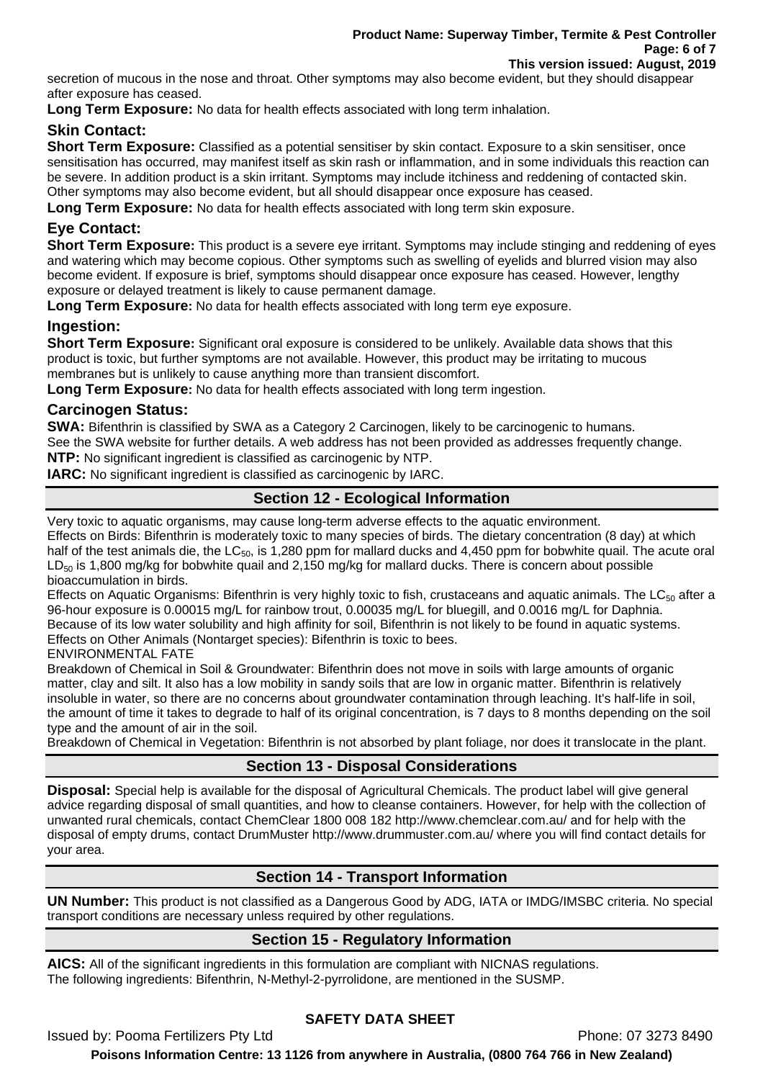secretion of mucous in the nose and throat. Other symptoms may also become evident, but they should disappear after exposure has ceased.

**Long Term Exposure:** No data for health effects associated with long term inhalation.

### **Skin Contact:**

**Short Term Exposure:** Classified as a potential sensitiser by skin contact. Exposure to a skin sensitiser, once sensitisation has occurred, may manifest itself as skin rash or inflammation, and in some individuals this reaction can be severe. In addition product is a skin irritant. Symptoms may include itchiness and reddening of contacted skin. Other symptoms may also become evident, but all should disappear once exposure has ceased.

**Long Term Exposure:** No data for health effects associated with long term skin exposure.

# **Eye Contact:**

**Short Term Exposure:** This product is a severe eye irritant. Symptoms may include stinging and reddening of eyes and watering which may become copious. Other symptoms such as swelling of eyelids and blurred vision may also become evident. If exposure is brief, symptoms should disappear once exposure has ceased. However, lengthy exposure or delayed treatment is likely to cause permanent damage.

**Long Term Exposure:** No data for health effects associated with long term eye exposure.

# **Ingestion:**

**Short Term Exposure:** Significant oral exposure is considered to be unlikely. Available data shows that this product is toxic, but further symptoms are not available. However, this product may be irritating to mucous membranes but is unlikely to cause anything more than transient discomfort.

**Long Term Exposure:** No data for health effects associated with long term ingestion.

### **Carcinogen Status:**

**SWA:** Bifenthrin is classified by SWA as a Category 2 Carcinogen, likely to be carcinogenic to humans. See the SWA website for further details. A web address has not been provided as addresses frequently change. **NTP:** No significant ingredient is classified as carcinogenic by NTP.

**IARC:** No significant ingredient is classified as carcinogenic by IARC.

# **Section 12 - Ecological Information**

Very toxic to aquatic organisms, may cause long-term adverse effects to the aquatic environment. Effects on Birds: Bifenthrin is moderately toxic to many species of birds. The dietary concentration (8 day) at which half of the test animals die, the  $LC_{50}$ , is 1,280 ppm for mallard ducks and 4,450 ppm for bobwhite quail. The acute oral  $LD_{50}$  is 1,800 mg/kg for bobwhite quail and 2,150 mg/kg for mallard ducks. There is concern about possible bioaccumulation in birds.

Effects on Aquatic Organisms: Bifenthrin is very highly toxic to fish, crustaceans and aquatic animals. The  $LC_{50}$  after a 96-hour exposure is 0.00015 mg/L for rainbow trout, 0.00035 mg/L for bluegill, and 0.0016 mg/L for Daphnia. Because of its low water solubility and high affinity for soil, Bifenthrin is not likely to be found in aquatic systems. Effects on Other Animals (Nontarget species): Bifenthrin is toxic to bees.

ENVIRONMENTAL FATE

Breakdown of Chemical in Soil & Groundwater: Bifenthrin does not move in soils with large amounts of organic matter, clay and silt. It also has a low mobility in sandy soils that are low in organic matter. Bifenthrin is relatively insoluble in water, so there are no concerns about groundwater contamination through leaching. It's half-life in soil, the amount of time it takes to degrade to half of its original concentration, is 7 days to 8 months depending on the soil type and the amount of air in the soil.

Breakdown of Chemical in Vegetation: Bifenthrin is not absorbed by plant foliage, nor does it translocate in the plant.

# **Section 13 - Disposal Considerations**

**Disposal:** Special help is available for the disposal of Agricultural Chemicals. The product label will give general advice regarding disposal of small quantities, and how to cleanse containers. However, for help with the collection of unwanted rural chemicals, contact ChemClear 1800 008 182 http://www.chemclear.com.au/ and for help with the disposal of empty drums, contact DrumMuster http://www.drummuster.com.au/ where you will find contact details for your area.

# **Section 14 - Transport Information**

**UN Number:** This product is not classified as a Dangerous Good by ADG, IATA or IMDG/IMSBC criteria. No special transport conditions are necessary unless required by other regulations.

# **Section 15 - Regulatory Information**

**AICS:** All of the significant ingredients in this formulation are compliant with NICNAS regulations. The following ingredients: Bifenthrin, N-Methyl-2-pyrrolidone, are mentioned in the SUSMP.

# **SAFETY DATA SHEET**

Issued by: Pooma Fertilizers Pty Ltd **Phone: 07 3273 8490**